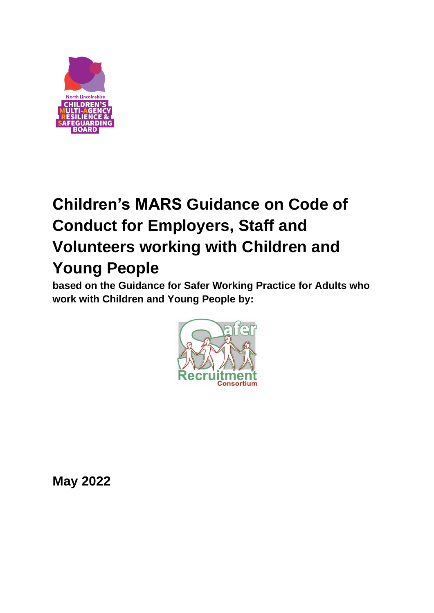

# **Children's MARS Guidance on Code of Conduct for Employers, Staff and Volunteers working with Children and Young People**

**based on the Guidance for Safer Working Practice for Adults who work with Children and Young People by:**



**May 2022**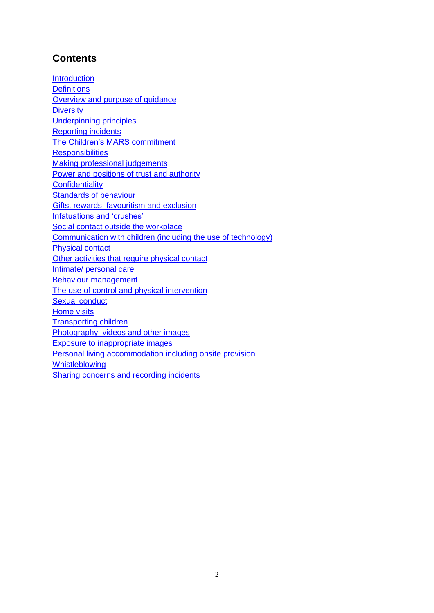## **Contents**

**[Introduction](#page-2-0) [Definitions](#page-2-1)** [Overview and purpose of guidance](#page-2-2) **[Diversity](#page-3-0)** [Underpinning principles](#page-3-1) [Reporting incidents](#page-4-0) [The Children's MARS commitment](#page-4-1) **[Responsibilities](#page-5-0)** [Making professional judgements](#page-5-1) [Power and positions of trust and authority](#page-6-0) **[Confidentiality](#page-6-1)** [Standards of behaviour](#page-6-2) [Gifts, rewards, favouritism and exclusion](#page-7-0) [Infatuations and 'crushes'](#page-7-1) [Social contact outside the workplace](#page-8-0) [Communication with children \(including the use of technology\)](#page-8-1) [Physical contact](#page-9-0) [Other activities that require physical contact](#page-9-1) Intimate/ [personal care](#page-10-0) [Behaviour management](#page-11-0) [The use of control and physical intervention](#page-11-1) [Sexual conduct](#page-12-0) [Home visits](#page-12-1) [Transporting children](#page-13-0) [Photography, videos and other images](#page-13-1) [Exposure to inappropriate images](#page-14-0) [Personal living accommodation including onsite provision](#page-14-1) [Whistleblowing](#page-14-2) [Sharing concerns and recording incidents](#page-15-0)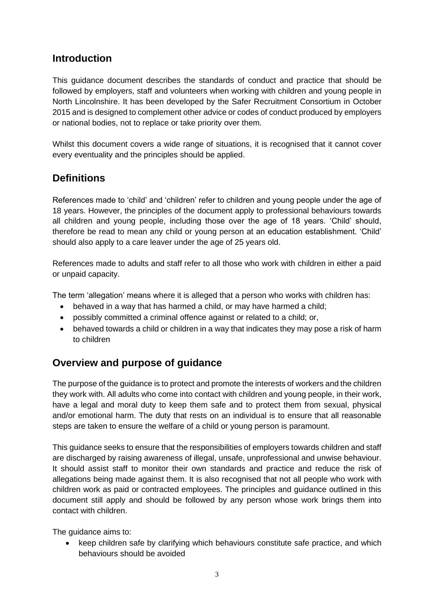#### <span id="page-2-0"></span>**Introduction**

This guidance document describes the standards of conduct and practice that should be followed by employers, staff and volunteers when working with children and young people in North Lincolnshire. It has been developed by the Safer Recruitment Consortium in October 2015 and is designed to complement other advice or codes of conduct produced by employers or national bodies, not to replace or take priority over them.

Whilst this document covers a wide range of situations, it is recognised that it cannot cover every eventuality and the principles should be applied.

## <span id="page-2-1"></span>**Definitions**

References made to 'child' and 'children' refer to children and young people under the age of 18 years. However, the principles of the document apply to professional behaviours towards all children and young people, including those over the age of 18 years. 'Child' should, therefore be read to mean any child or young person at an education establishment. 'Child' should also apply to a care leaver under the age of 25 years old.

References made to adults and staff refer to all those who work with children in either a paid or unpaid capacity.

The term 'allegation' means where it is alleged that a person who works with children has:

- behaved in a way that has harmed a child, or may have harmed a child;
- possibly committed a criminal offence against or related to a child; or,
- behaved towards a child or children in a way that indicates they may pose a risk of harm to children

#### <span id="page-2-2"></span>**Overview and purpose of guidance**

The purpose of the guidance is to protect and promote the interests of workers and the children they work with. All adults who come into contact with children and young people, in their work, have a legal and moral duty to keep them safe and to protect them from sexual, physical and/or emotional harm. The duty that rests on an individual is to ensure that all reasonable steps are taken to ensure the welfare of a child or young person is paramount.

This guidance seeks to ensure that the responsibilities of employers towards children and staff are discharged by raising awareness of illegal, unsafe, unprofessional and unwise behaviour. It should assist staff to monitor their own standards and practice and reduce the risk of allegations being made against them. It is also recognised that not all people who work with children work as paid or contracted employees. The principles and guidance outlined in this document still apply and should be followed by any person whose work brings them into contact with children.

The guidance aims to:

• keep children safe by clarifying which behaviours constitute safe practice, and which behaviours should be avoided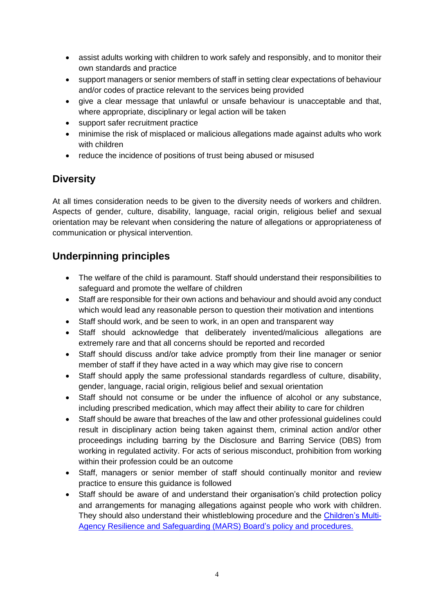- assist adults working with children to work safely and responsibly, and to monitor their own standards and practice
- support managers or senior members of staff in setting clear expectations of behaviour and/or codes of practice relevant to the services being provided
- give a clear message that unlawful or unsafe behaviour is unacceptable and that, where appropriate, disciplinary or legal action will be taken
- support safer recruitment practice
- minimise the risk of misplaced or malicious allegations made against adults who work with children
- reduce the incidence of positions of trust being abused or misused

## <span id="page-3-0"></span>**Diversity**

At all times consideration needs to be given to the diversity needs of workers and children. Aspects of gender, culture, disability, language, racial origin, religious belief and sexual orientation may be relevant when considering the nature of allegations or appropriateness of communication or physical intervention.

## <span id="page-3-1"></span>**Underpinning principles**

- The welfare of the child is paramount. Staff should understand their responsibilities to safeguard and promote the welfare of children
- Staff are responsible for their own actions and behaviour and should avoid any conduct which would lead any reasonable person to question their motivation and intentions
- Staff should work, and be seen to work, in an open and transparent way
- Staff should acknowledge that deliberately invented/malicious allegations are extremely rare and that all concerns should be reported and recorded
- Staff should discuss and/or take advice promptly from their line manager or senior member of staff if they have acted in a way which may give rise to concern
- Staff should apply the same professional standards regardless of culture, disability, gender, language, racial origin, religious belief and sexual orientation
- Staff should not consume or be under the influence of alcohol or any substance, including prescribed medication, which may affect their ability to care for children
- Staff should be aware that breaches of the law and other professional guidelines could result in disciplinary action being taken against them, criminal action and/or other proceedings including barring by the Disclosure and Barring Service (DBS) from working in regulated activity. For acts of serious misconduct, prohibition from working within their profession could be an outcome
- Staff, managers or senior member of staff should continually monitor and review practice to ensure this guidance is followed
- Staff should be aware of and understand their organisation's child protection policy and arrangements for managing allegations against people who work with children. They should also understand their whistleblowing procedure and the [Children's Multi-](http://www.northlincscmars.co.uk/policies-procedures-and-guidance/)[Agency Resilience and Safeguarding](http://www.northlincscmars.co.uk/policies-procedures-and-guidance/) (MARS) Board's policy and procedures.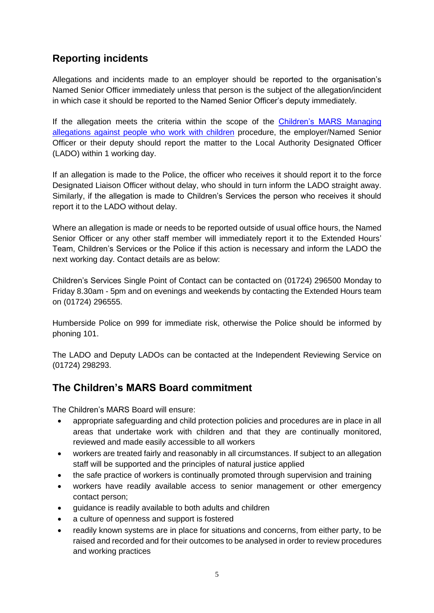## <span id="page-4-0"></span>**Reporting incidents**

Allegations and incidents made to an employer should be reported to the organisation's Named Senior Officer immediately unless that person is the subject of the allegation/incident in which case it should be reported to the Named Senior Officer's deputy immediately.

If the allegation meets the criteria within the scope of the [Children's MARS](http://www.northlincscmars.co.uk/wp-content/uploads/2018/10/Procedures-for-managing-allegations-against-people-who-work-with-children-Oct-2017.pdf) Managing [allegations against people who work with children](http://www.northlincscmars.co.uk/wp-content/uploads/2018/10/Procedures-for-managing-allegations-against-people-who-work-with-children-Oct-2017.pdf) procedure, the employer/Named Senior Officer or their deputy should report the matter to the Local Authority Designated Officer (LADO) within 1 working day.

If an allegation is made to the Police, the officer who receives it should report it to the force Designated Liaison Officer without delay, who should in turn inform the LADO straight away. Similarly, if the allegation is made to Children's Services the person who receives it should report it to the LADO without delay.

Where an allegation is made or needs to be reported outside of usual office hours, the Named Senior Officer or any other staff member will immediately report it to the Extended Hours' Team, Children's Services or the Police if this action is necessary and inform the LADO the next working day. Contact details are as below:

Children's Services Single Point of Contact can be contacted on (01724) 296500 Monday to Friday 8.30am - 5pm and on evenings and weekends by contacting the Extended Hours team on (01724) 296555.

Humberside Police on 999 for immediate risk, otherwise the Police should be informed by phoning 101.

The LADO and Deputy LADOs can be contacted at the Independent Reviewing Service on (01724) 298293.

## <span id="page-4-1"></span>**The Children's MARS Board commitment**

The Children's MARS Board will ensure:

- appropriate safeguarding and child protection policies and procedures are in place in all areas that undertake work with children and that they are continually monitored, reviewed and made easily accessible to all workers
- workers are treated fairly and reasonably in all circumstances. If subject to an allegation staff will be supported and the principles of natural justice applied
- the safe practice of workers is continually promoted through supervision and training
- workers have readily available access to senior management or other emergency contact person;
- guidance is readily available to both adults and children
- a culture of openness and support is fostered
- readily known systems are in place for situations and concerns, from either party, to be raised and recorded and for their outcomes to be analysed in order to review procedures and working practices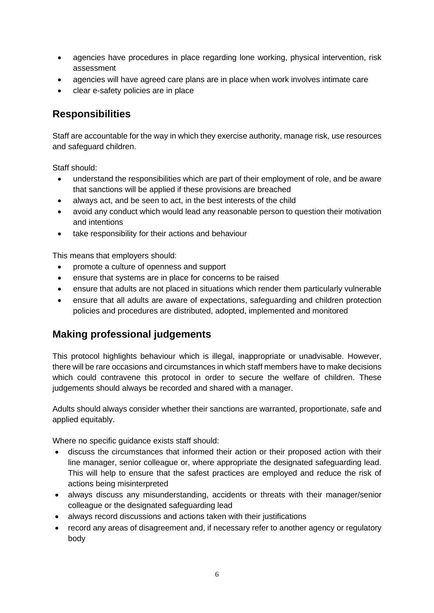- agencies have procedures in place regarding lone working, physical intervention, risk assessment
- agencies will have agreed care plans are in place when work involves intimate care
- clear e-safety policies are in place

#### <span id="page-5-0"></span>**Responsibilities**

Staff are accountable for the way in which they exercise authority, manage risk, use resources and safeguard children.

Staff should:

- understand the responsibilities which are part of their employment of role, and be aware that sanctions will be applied if these provisions are breached
- always act, and be seen to act, in the best interests of the child
- avoid any conduct which would lead any reasonable person to question their motivation and intentions
- take responsibility for their actions and behaviour

This means that employers should:

- promote a culture of openness and support
- ensure that systems are in place for concerns to be raised
- ensure that adults are not placed in situations which render them particularly vulnerable
- ensure that all adults are aware of expectations, safeguarding and children protection policies and procedures are distributed, adopted, implemented and monitored

#### <span id="page-5-1"></span>**Making professional judgements**

This protocol highlights behaviour which is illegal, inappropriate or unadvisable. However, there will be rare occasions and circumstances in which staff members have to make decisions which could contravene this protocol in order to secure the welfare of children. These judgements should always be recorded and shared with a manager.

Adults should always consider whether their sanctions are warranted, proportionate, safe and applied equitably.

Where no specific guidance exists staff should:

- discuss the circumstances that informed their action or their proposed action with their line manager, senior colleague or, where appropriate the designated safeguarding lead. This will help to ensure that the safest practices are employed and reduce the risk of actions being misinterpreted
- always discuss any misunderstanding, accidents or threats with their manager/senior colleague or the designated safeguarding lead
- always record discussions and actions taken with their justifications
- record any areas of disagreement and, if necessary refer to another agency or regulatory body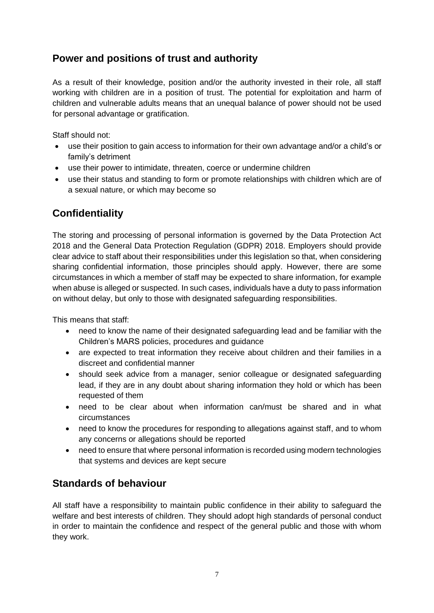## <span id="page-6-0"></span>**Power and positions of trust and authority**

As a result of their knowledge, position and/or the authority invested in their role, all staff working with children are in a position of trust. The potential for exploitation and harm of children and vulnerable adults means that an unequal balance of power should not be used for personal advantage or gratification.

Staff should not:

- use their position to gain access to information for their own advantage and/or a child's or family's detriment
- use their power to intimidate, threaten, coerce or undermine children
- use their status and standing to form or promote relationships with children which are of a sexual nature, or which may become so

## <span id="page-6-1"></span>**Confidentiality**

The storing and processing of personal information is governed by the Data Protection Act 2018 and the General Data Protection Regulation (GDPR) 2018. Employers should provide clear advice to staff about their responsibilities under this legislation so that, when considering sharing confidential information, those principles should apply. However, there are some circumstances in which a member of staff may be expected to share information, for example when abuse is alleged or suspected. In such cases, individuals have a duty to pass information on without delay, but only to those with designated safeguarding responsibilities.

This means that staff:

- need to know the name of their designated safeguarding lead and be familiar with the Children's MARS policies, procedures and guidance
- are expected to treat information they receive about children and their families in a discreet and confidential manner
- should seek advice from a manager, senior colleague or designated safeguarding lead, if they are in any doubt about sharing information they hold or which has been requested of them
- need to be clear about when information can/must be shared and in what circumstances
- need to know the procedures for responding to allegations against staff, and to whom any concerns or allegations should be reported
- need to ensure that where personal information is recorded using modern technologies that systems and devices are kept secure

## <span id="page-6-2"></span>**Standards of behaviour**

All staff have a responsibility to maintain public confidence in their ability to safeguard the welfare and best interests of children. They should adopt high standards of personal conduct in order to maintain the confidence and respect of the general public and those with whom they work.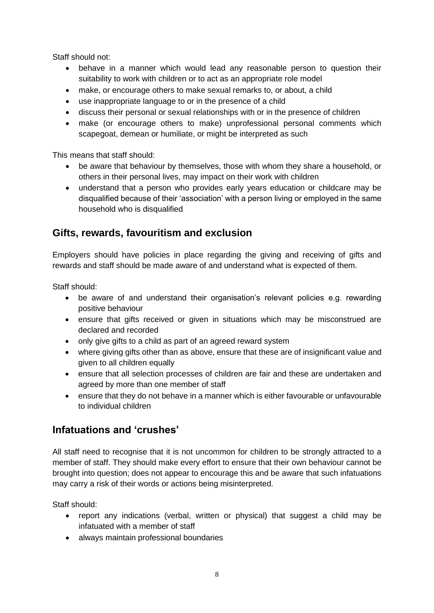Staff should not:

- behave in a manner which would lead any reasonable person to question their suitability to work with children or to act as an appropriate role model
- make, or encourage others to make sexual remarks to, or about, a child
- use inappropriate language to or in the presence of a child
- discuss their personal or sexual relationships with or in the presence of children
- make (or encourage others to make) unprofessional personal comments which scapegoat, demean or humiliate, or might be interpreted as such

This means that staff should:

- be aware that behaviour by themselves, those with whom they share a household, or others in their personal lives, may impact on their work with children
- understand that a person who provides early years education or childcare may be disqualified because of their 'association' with a person living or employed in the same household who is disqualified

#### <span id="page-7-0"></span>**Gifts, rewards, favouritism and exclusion**

Employers should have policies in place regarding the giving and receiving of gifts and rewards and staff should be made aware of and understand what is expected of them.

Staff should:

- be aware of and understand their organisation's relevant policies e.g. rewarding positive behaviour
- ensure that gifts received or given in situations which may be misconstrued are declared and recorded
- only give gifts to a child as part of an agreed reward system
- where giving gifts other than as above, ensure that these are of insignificant value and given to all children equally
- ensure that all selection processes of children are fair and these are undertaken and agreed by more than one member of staff
- ensure that they do not behave in a manner which is either favourable or unfavourable to individual children

#### <span id="page-7-1"></span>**Infatuations and 'crushes'**

All staff need to recognise that it is not uncommon for children to be strongly attracted to a member of staff. They should make every effort to ensure that their own behaviour cannot be brought into question; does not appear to encourage this and be aware that such infatuations may carry a risk of their words or actions being misinterpreted.

- report any indications (verbal, written or physical) that suggest a child may be infatuated with a member of staff
- always maintain professional boundaries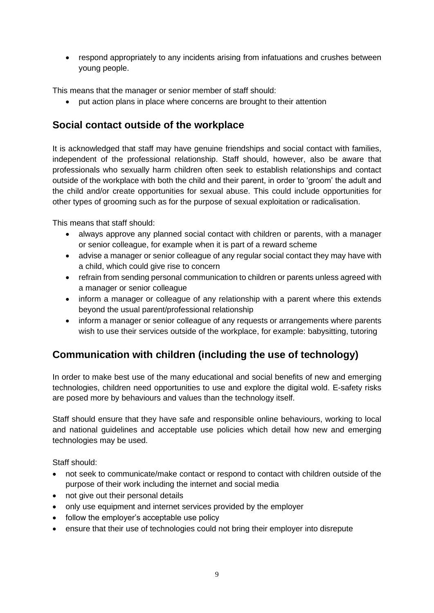• respond appropriately to any incidents arising from infatuations and crushes between young people.

This means that the manager or senior member of staff should:

• put action plans in place where concerns are brought to their attention

### <span id="page-8-0"></span>**Social contact outside of the workplace**

It is acknowledged that staff may have genuine friendships and social contact with families, independent of the professional relationship. Staff should, however, also be aware that professionals who sexually harm children often seek to establish relationships and contact outside of the workplace with both the child and their parent, in order to 'groom' the adult and the child and/or create opportunities for sexual abuse. This could include opportunities for other types of grooming such as for the purpose of sexual exploitation or radicalisation.

This means that staff should:

- always approve any planned social contact with children or parents, with a manager or senior colleague, for example when it is part of a reward scheme
- advise a manager or senior colleague of any regular social contact they may have with a child, which could give rise to concern
- refrain from sending personal communication to children or parents unless agreed with a manager or senior colleague
- inform a manager or colleague of any relationship with a parent where this extends beyond the usual parent/professional relationship
- inform a manager or senior colleague of any requests or arrangements where parents wish to use their services outside of the workplace, for example: babysitting, tutoring

## <span id="page-8-1"></span>**Communication with children (including the use of technology)**

In order to make best use of the many educational and social benefits of new and emerging technologies, children need opportunities to use and explore the digital wold. E-safety risks are posed more by behaviours and values than the technology itself.

Staff should ensure that they have safe and responsible online behaviours, working to local and national guidelines and acceptable use policies which detail how new and emerging technologies may be used.

- not seek to communicate/make contact or respond to contact with children outside of the purpose of their work including the internet and social media
- not give out their personal details
- only use equipment and internet services provided by the employer
- follow the employer's acceptable use policy
- ensure that their use of technologies could not bring their employer into disrepute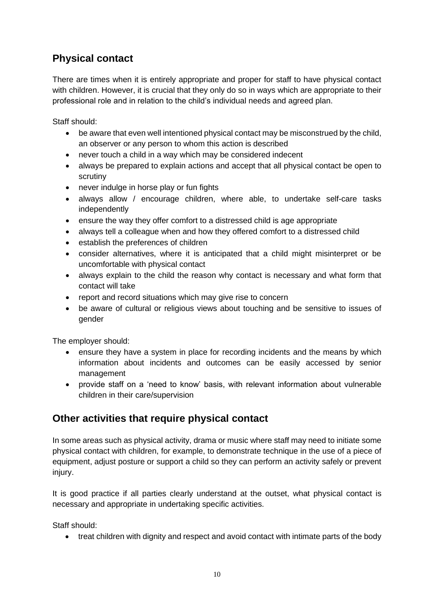## <span id="page-9-0"></span>**Physical contact**

There are times when it is entirely appropriate and proper for staff to have physical contact with children. However, it is crucial that they only do so in ways which are appropriate to their professional role and in relation to the child's individual needs and agreed plan.

Staff should:

- be aware that even well intentioned physical contact may be misconstrued by the child, an observer or any person to whom this action is described
- never touch a child in a way which may be considered indecent
- always be prepared to explain actions and accept that all physical contact be open to scrutiny
- never indulge in horse play or fun fights
- always allow / encourage children, where able, to undertake self-care tasks independently
- ensure the way they offer comfort to a distressed child is age appropriate
- always tell a colleague when and how they offered comfort to a distressed child
- establish the preferences of children
- consider alternatives, where it is anticipated that a child might misinterpret or be uncomfortable with physical contact
- always explain to the child the reason why contact is necessary and what form that contact will take
- report and record situations which may give rise to concern
- be aware of cultural or religious views about touching and be sensitive to issues of gender

The employer should:

- ensure they have a system in place for recording incidents and the means by which information about incidents and outcomes can be easily accessed by senior management
- provide staff on a 'need to know' basis, with relevant information about vulnerable children in their care/supervision

#### <span id="page-9-1"></span>**Other activities that require physical contact**

In some areas such as physical activity, drama or music where staff may need to initiate some physical contact with children, for example, to demonstrate technique in the use of a piece of equipment, adjust posture or support a child so they can perform an activity safely or prevent injury.

It is good practice if all parties clearly understand at the outset, what physical contact is necessary and appropriate in undertaking specific activities.

Staff should:

• treat children with dignity and respect and avoid contact with intimate parts of the body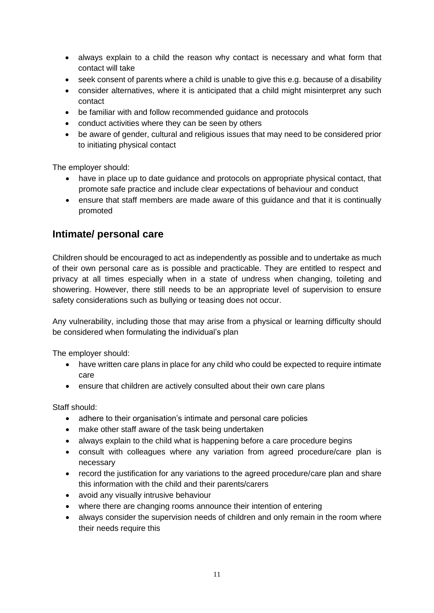- always explain to a child the reason why contact is necessary and what form that contact will take
- seek consent of parents where a child is unable to give this e.g. because of a disability
- consider alternatives, where it is anticipated that a child might misinterpret any such contact
- be familiar with and follow recommended guidance and protocols
- conduct activities where they can be seen by others
- be aware of gender, cultural and religious issues that may need to be considered prior to initiating physical contact

The employer should:

- have in place up to date guidance and protocols on appropriate physical contact, that promote safe practice and include clear expectations of behaviour and conduct
- ensure that staff members are made aware of this guidance and that it is continually promoted

#### <span id="page-10-0"></span>**Intimate/ personal care**

Children should be encouraged to act as independently as possible and to undertake as much of their own personal care as is possible and practicable. They are entitled to respect and privacy at all times especially when in a state of undress when changing, toileting and showering. However, there still needs to be an appropriate level of supervision to ensure safety considerations such as bullying or teasing does not occur.

Any vulnerability, including those that may arise from a physical or learning difficulty should be considered when formulating the individual's plan

The employer should:

- have written care plans in place for any child who could be expected to require intimate care
- ensure that children are actively consulted about their own care plans

- adhere to their organisation's intimate and personal care policies
- make other staff aware of the task being undertaken
- always explain to the child what is happening before a care procedure begins
- consult with colleagues where any variation from agreed procedure/care plan is necessary
- record the justification for any variations to the agreed procedure/care plan and share this information with the child and their parents/carers
- avoid any visually intrusive behaviour
- where there are changing rooms announce their intention of entering
- always consider the supervision needs of children and only remain in the room where their needs require this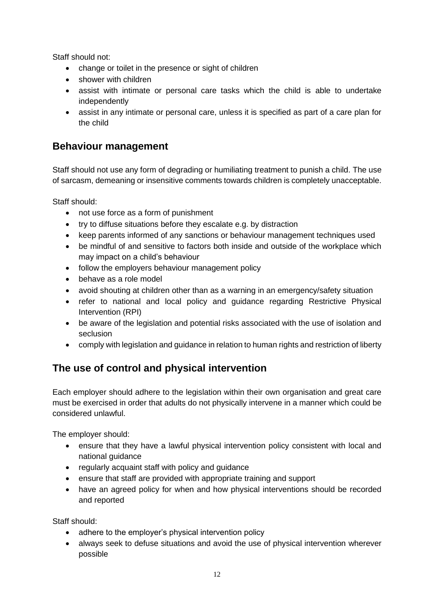Staff should not:

- change or toilet in the presence or sight of children
- shower with children
- assist with intimate or personal care tasks which the child is able to undertake independently
- assist in any intimate or personal care, unless it is specified as part of a care plan for the child

## <span id="page-11-0"></span>**Behaviour management**

Staff should not use any form of degrading or humiliating treatment to punish a child. The use of sarcasm, demeaning or insensitive comments towards children is completely unacceptable.

Staff should:

- not use force as a form of punishment
- try to diffuse situations before they escalate e.g. by distraction
- keep parents informed of any sanctions or behaviour management techniques used
- be mindful of and sensitive to factors both inside and outside of the workplace which may impact on a child's behaviour
- follow the employers behaviour management policy
- behave as a role model
- avoid shouting at children other than as a warning in an emergency/safety situation
- refer to national and local policy and guidance regarding Restrictive Physical Intervention (RPI)
- be aware of the legislation and potential risks associated with the use of isolation and seclusion
- comply with legislation and guidance in relation to human rights and restriction of liberty

## <span id="page-11-1"></span>**The use of control and physical intervention**

Each employer should adhere to the legislation within their own organisation and great care must be exercised in order that adults do not physically intervene in a manner which could be considered unlawful.

The employer should:

- ensure that they have a lawful physical intervention policy consistent with local and national guidance
- regularly acquaint staff with policy and guidance
- ensure that staff are provided with appropriate training and support
- have an agreed policy for when and how physical interventions should be recorded and reported

- adhere to the employer's physical intervention policy
- always seek to defuse situations and avoid the use of physical intervention wherever possible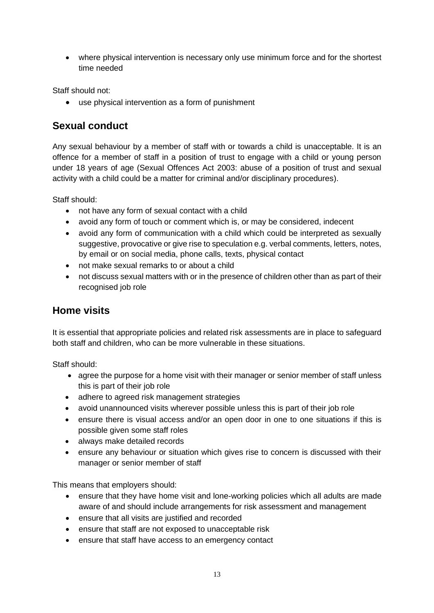• where physical intervention is necessary only use minimum force and for the shortest time needed

Staff should not:

• use physical intervention as a form of punishment

#### <span id="page-12-0"></span>**Sexual conduct**

Any sexual behaviour by a member of staff with or towards a child is unacceptable. It is an offence for a member of staff in a position of trust to engage with a child or young person under 18 years of age (Sexual Offences Act 2003: abuse of a position of trust and sexual activity with a child could be a matter for criminal and/or disciplinary procedures).

Staff should:

- not have any form of sexual contact with a child
- avoid any form of touch or comment which is, or may be considered, indecent
- avoid any form of communication with a child which could be interpreted as sexually suggestive, provocative or give rise to speculation e.g. verbal comments, letters, notes, by email or on social media, phone calls, texts, physical contact
- not make sexual remarks to or about a child
- not discuss sexual matters with or in the presence of children other than as part of their recognised job role

#### <span id="page-12-1"></span>**Home visits**

It is essential that appropriate policies and related risk assessments are in place to safeguard both staff and children, who can be more vulnerable in these situations.

Staff should:

- agree the purpose for a home visit with their manager or senior member of staff unless this is part of their job role
- adhere to agreed risk management strategies
- avoid unannounced visits wherever possible unless this is part of their job role
- ensure there is visual access and/or an open door in one to one situations if this is possible given some staff roles
- always make detailed records
- ensure any behaviour or situation which gives rise to concern is discussed with their manager or senior member of staff

This means that employers should:

- ensure that they have home visit and lone-working policies which all adults are made aware of and should include arrangements for risk assessment and management
- ensure that all visits are justified and recorded
- ensure that staff are not exposed to unacceptable risk
- ensure that staff have access to an emergency contact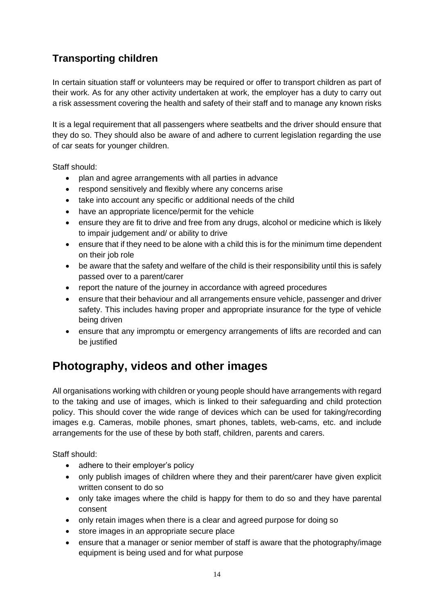## <span id="page-13-0"></span>**Transporting children**

In certain situation staff or volunteers may be required or offer to transport children as part of their work. As for any other activity undertaken at work, the employer has a duty to carry out a risk assessment covering the health and safety of their staff and to manage any known risks

It is a legal requirement that all passengers where seatbelts and the driver should ensure that they do so. They should also be aware of and adhere to current legislation regarding the use of car seats for younger children.

Staff should:

- plan and agree arrangements with all parties in advance
- respond sensitively and flexibly where any concerns arise
- take into account any specific or additional needs of the child
- have an appropriate licence/permit for the vehicle
- ensure they are fit to drive and free from any drugs, alcohol or medicine which is likely to impair judgement and/ or ability to drive
- ensure that if they need to be alone with a child this is for the minimum time dependent on their job role
- be aware that the safety and welfare of the child is their responsibility until this is safely passed over to a parent/carer
- report the nature of the journey in accordance with agreed procedures
- ensure that their behaviour and all arrangements ensure vehicle, passenger and driver safety. This includes having proper and appropriate insurance for the type of vehicle being driven
- ensure that any impromptu or emergency arrangements of lifts are recorded and can be justified

## <span id="page-13-1"></span>**Photography, videos and other images**

All organisations working with children or young people should have arrangements with regard to the taking and use of images, which is linked to their safeguarding and child protection policy. This should cover the wide range of devices which can be used for taking/recording images e.g. Cameras, mobile phones, smart phones, tablets, web-cams, etc. and include arrangements for the use of these by both staff, children, parents and carers.

- adhere to their employer's policy
- only publish images of children where they and their parent/carer have given explicit written consent to do so
- only take images where the child is happy for them to do so and they have parental consent
- only retain images when there is a clear and agreed purpose for doing so
- store images in an appropriate secure place
- ensure that a manager or senior member of staff is aware that the photography/image equipment is being used and for what purpose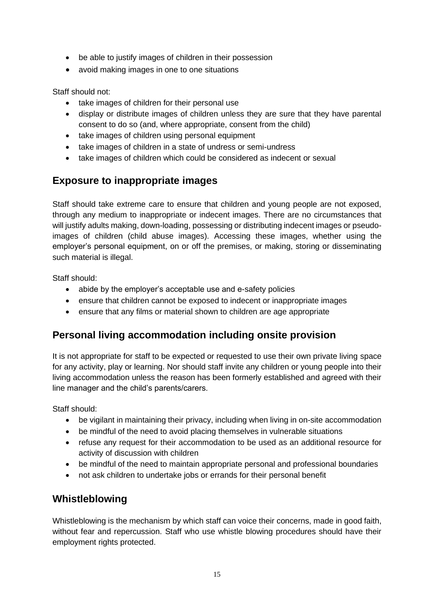- be able to justify images of children in their possession
- avoid making images in one to one situations

Staff should not:

- take images of children for their personal use
- display or distribute images of children unless they are sure that they have parental consent to do so (and, where appropriate, consent from the child)
- take images of children using personal equipment
- take images of children in a state of undress or semi-undress
- take images of children which could be considered as indecent or sexual

#### <span id="page-14-0"></span>**Exposure to inappropriate images**

Staff should take extreme care to ensure that children and young people are not exposed, through any medium to inappropriate or indecent images. There are no circumstances that will justify adults making, down-loading, possessing or distributing indecent images or pseudoimages of children (child abuse images). Accessing these images, whether using the employer's personal equipment, on or off the premises, or making, storing or disseminating such material is illegal.

Staff should:

- abide by the employer's acceptable use and e-safety policies
- ensure that children cannot be exposed to indecent or inappropriate images
- ensure that any films or material shown to children are age appropriate

#### <span id="page-14-1"></span>**Personal living accommodation including onsite provision**

It is not appropriate for staff to be expected or requested to use their own private living space for any activity, play or learning. Nor should staff invite any children or young people into their living accommodation unless the reason has been formerly established and agreed with their line manager and the child's parents/carers.

Staff should:

- be vigilant in maintaining their privacy, including when living in on-site accommodation
- be mindful of the need to avoid placing themselves in vulnerable situations
- refuse any request for their accommodation to be used as an additional resource for activity of discussion with children
- be mindful of the need to maintain appropriate personal and professional boundaries
- not ask children to undertake jobs or errands for their personal benefit

#### <span id="page-14-2"></span>**Whistleblowing**

Whistleblowing is the mechanism by which staff can voice their concerns, made in good faith, without fear and repercussion. Staff who use whistle blowing procedures should have their employment rights protected.